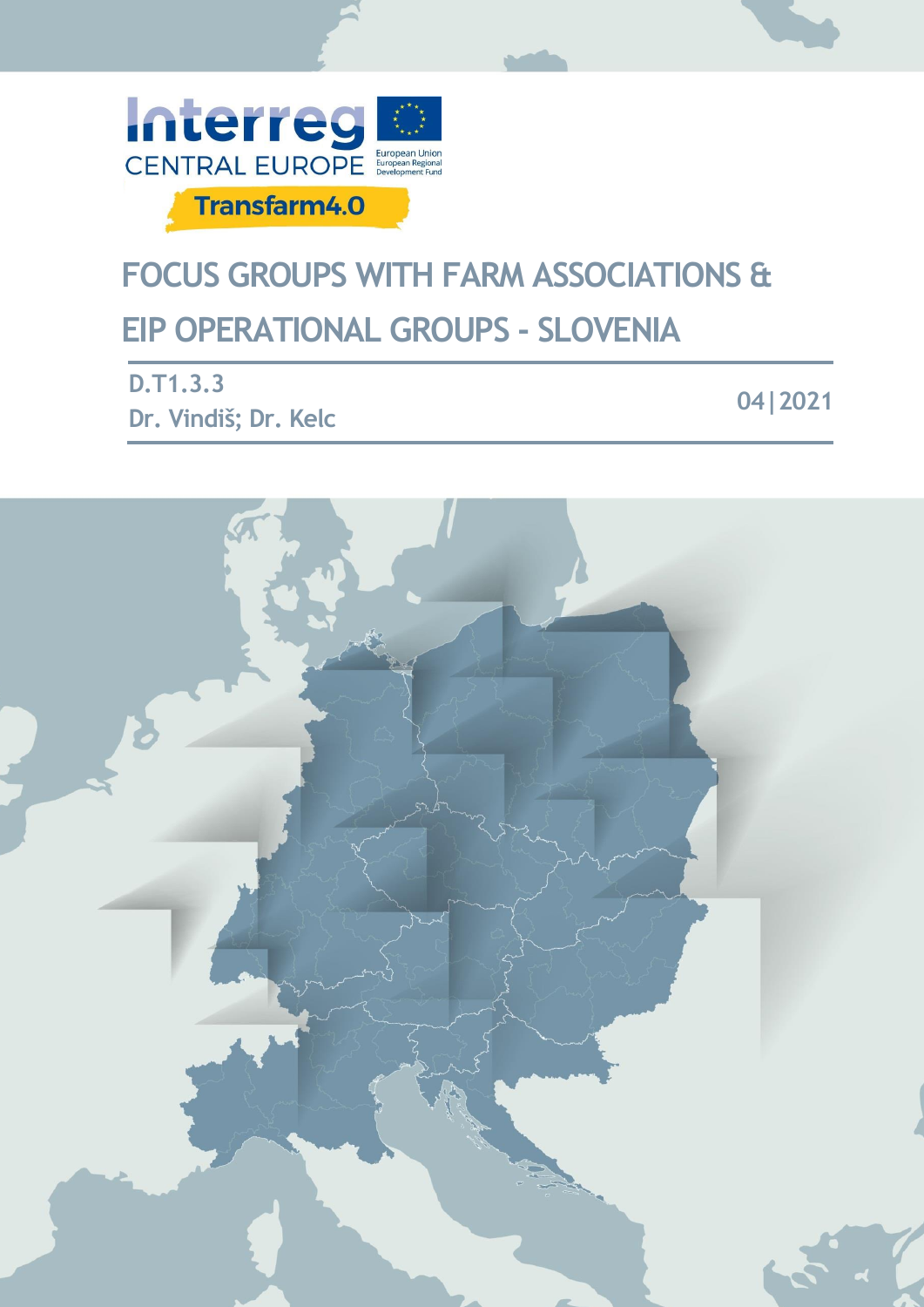

# **FOCUS GROUPS WITH FARM ASSOCIATIONS & EIP OPERATIONAL GROUPS - SLOVENIA**

| <b>D.T1.3.3</b>      | 04 2021 |
|----------------------|---------|
| Dr. Vindiš; Dr. Kelc |         |

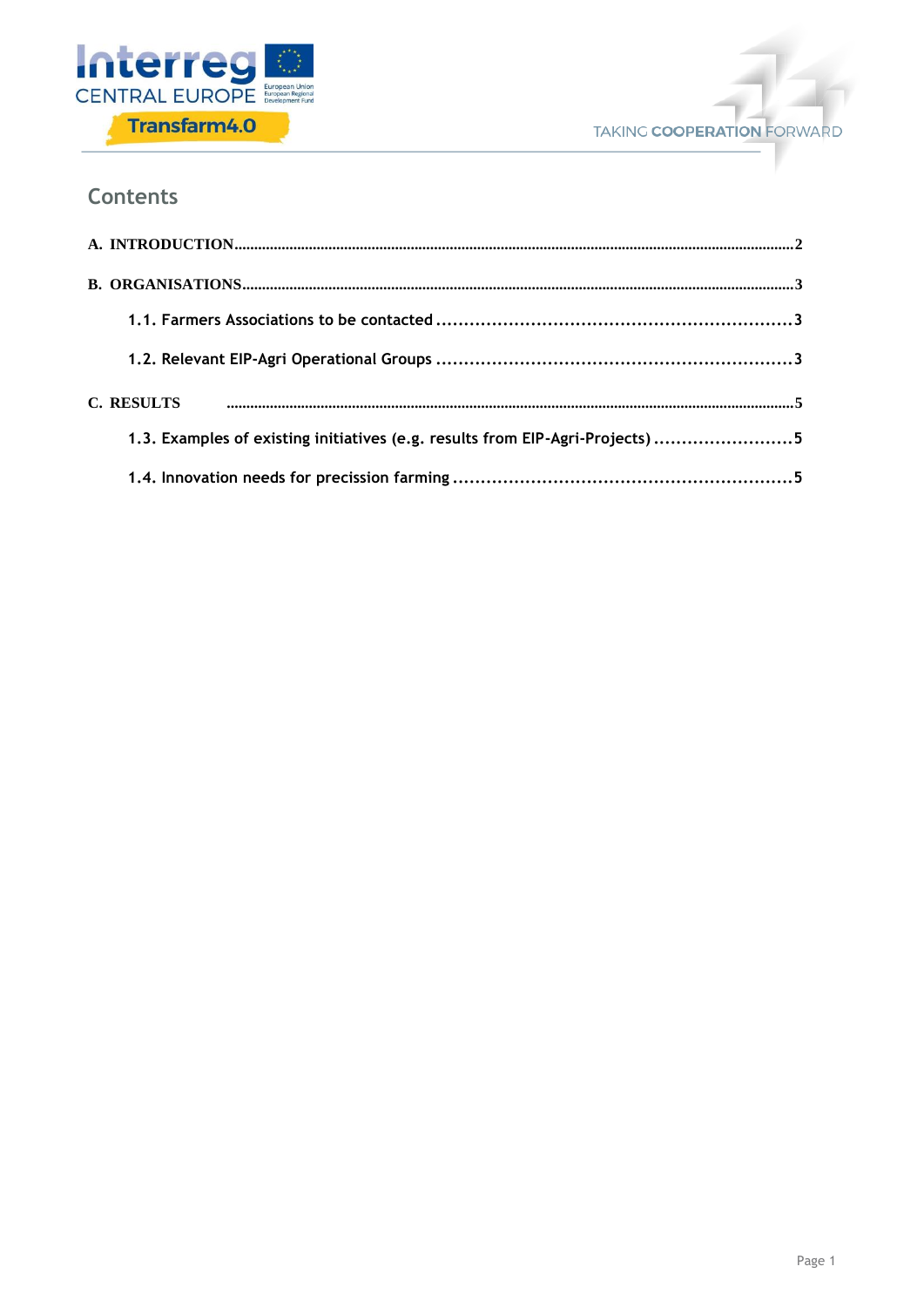



# **Contents**

| C. RESULTS                                                                    |  |
|-------------------------------------------------------------------------------|--|
| 1.3. Examples of existing initiatives (e.g. results from EIP-Agri-Projects) 5 |  |
|                                                                               |  |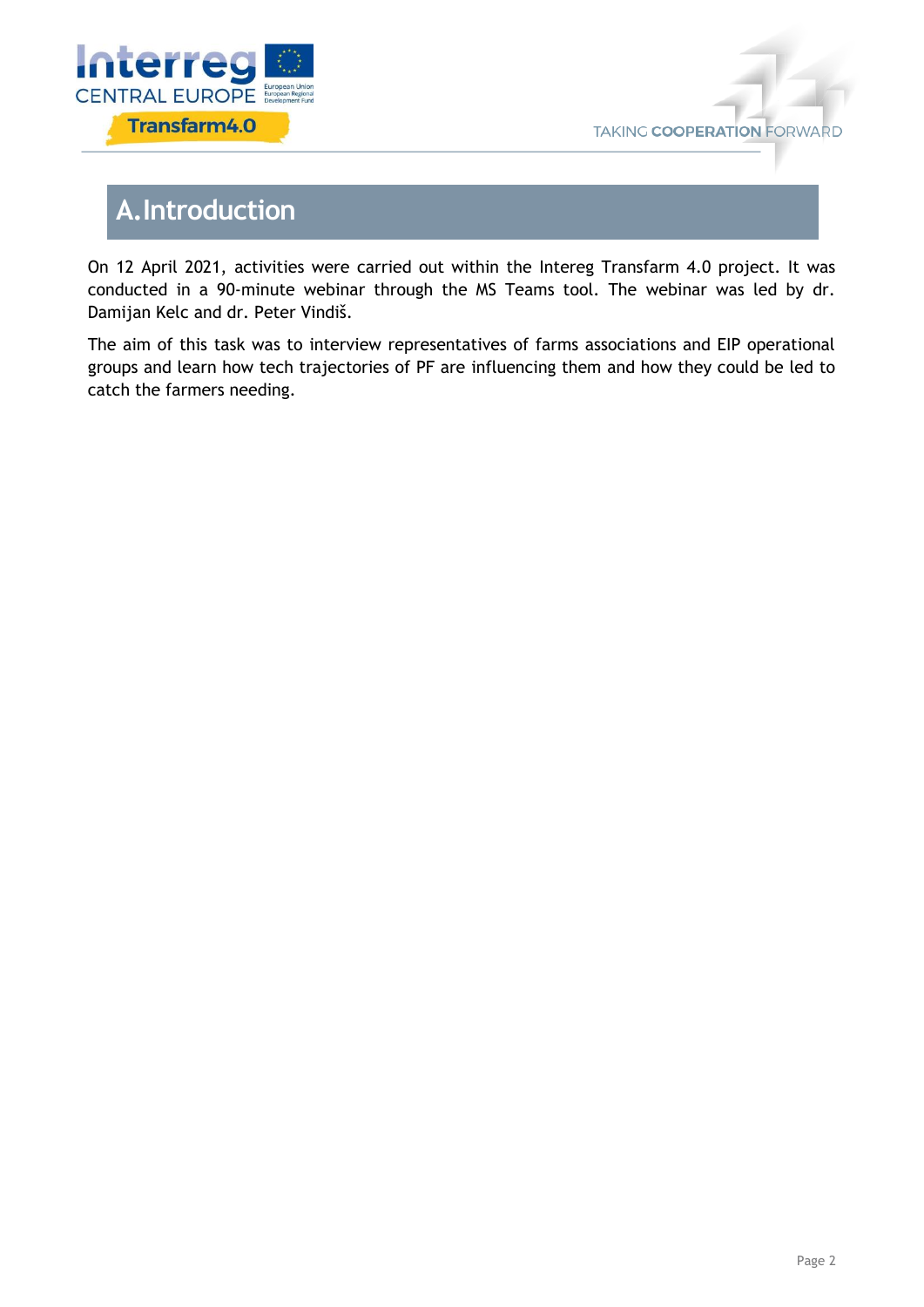



# <span id="page-2-0"></span>**A.Introduction**

On 12 April 2021, activities were carried out within the Intereg Transfarm 4.0 project. It was conducted in a 90-minute webinar through the MS Teams tool. The webinar was led by dr. Damijan Kelc and dr. Peter Vindiš.

The aim of this task was to interview representatives of farms associations and EIP operational groups and learn how tech trajectories of PF are influencing them and how they could be led to catch the farmers needing.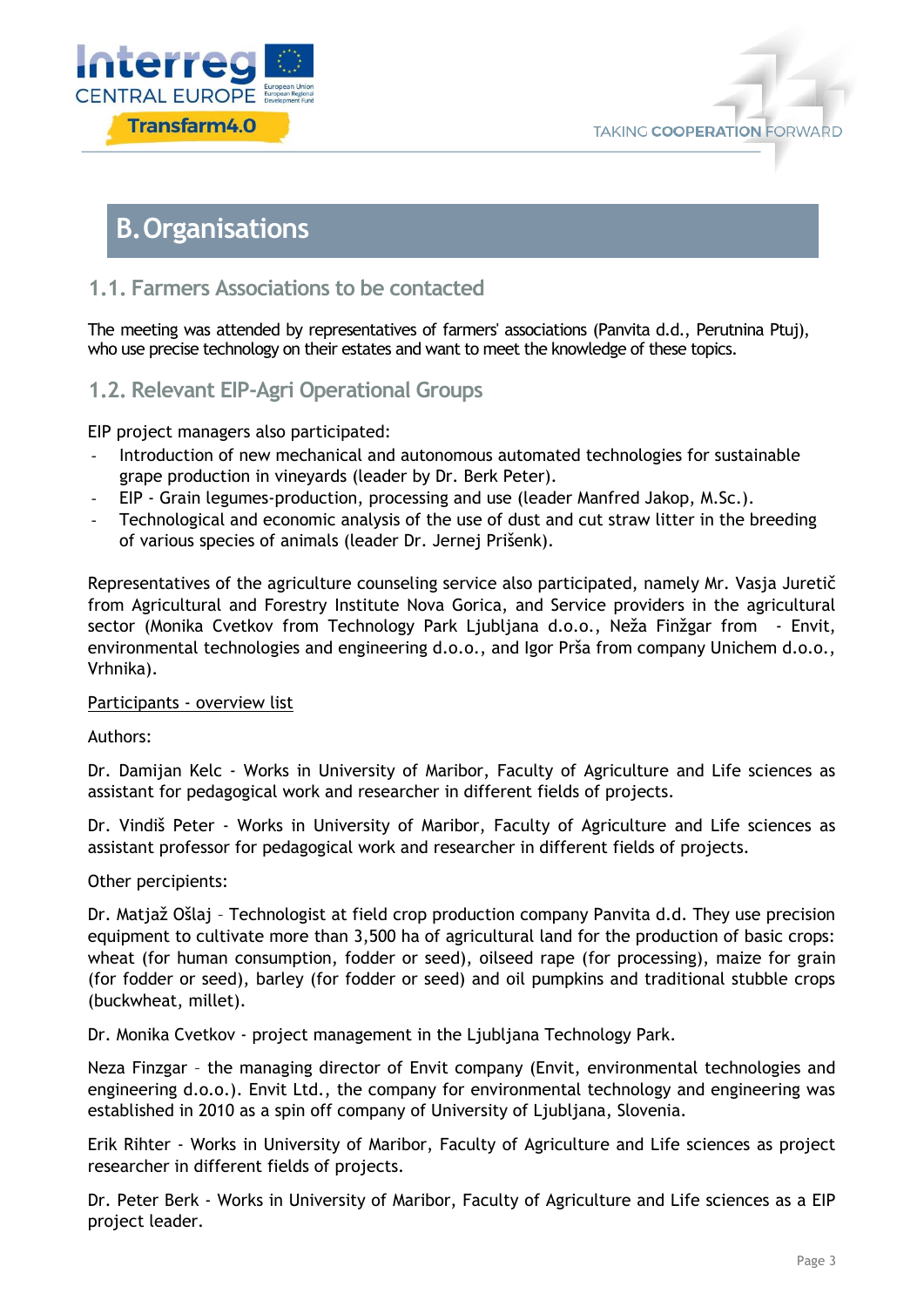



# <span id="page-3-0"></span>**B.Organisations**

### <span id="page-3-1"></span>**1.1. Farmers Associations to be contacted**

The meeting was attended by representatives of farmers' associations (Panvita d.d., Perutnina Ptuj), who use precise technology on their estates and want to meet the knowledge of these topics.

### <span id="page-3-2"></span>**1.2. Relevant EIP-Agri Operational Groups**

EIP project managers also participated:

- Introduction of new mechanical and autonomous automated technologies for sustainable grape production in vineyards (leader by Dr. Berk Peter).
- EIP Grain legumes-production, processing and use (leader Manfred Jakop, M.Sc.).
- Technological and economic analysis of the use of dust and cut straw litter in the breeding of various species of animals (leader Dr. Jernej Prišenk).

Representatives of the agriculture counseling service also participated, namely Mr. Vasja Juretič from Agricultural and Forestry Institute Nova Gorica, and Service providers in the agricultural sector (Monika Cvetkov from Technology Park Ljubljana d.o.o., Neža Finžgar from - Envit, environmental technologies and engineering d.o.o., and Igor Prša from company Unichem d.o.o., Vrhnika).

#### Participants - overview list

Authors:

Dr. Damijan Kelc - Works in University of Maribor, Faculty of Agriculture and Life sciences as assistant for pedagogical work and researcher in different fields of projects.

Dr. Vindiš Peter - Works in University of Maribor, Faculty of Agriculture and Life sciences as assistant professor for pedagogical work and researcher in different fields of projects.

#### Other percipients:

Dr. Matjaž Ošlaj – Technologist at field crop production company Panvita d.d. They use precision equipment to cultivate more than 3,500 ha of agricultural land for the production of basic crops: wheat (for human consumption, fodder or seed), oilseed rape (for processing), maize for grain (for fodder or seed), barley (for fodder or seed) and oil pumpkins and traditional stubble crops (buckwheat, millet).

Dr. Monika Cvetkov - project management in the Ljubljana Technology Park.

Neza Finzgar – the managing director of Envit company (Envit, environmental technologies and engineering d.o.o.). Envit Ltd., the company for environmental technology and engineering was established in 2010 as a spin off company of University of Ljubljana, Slovenia.

Erik Rihter - Works in University of Maribor, Faculty of Agriculture and Life sciences as project researcher in different fields of projects.

Dr. Peter Berk - Works in University of Maribor, Faculty of Agriculture and Life sciences as a EIP project leader.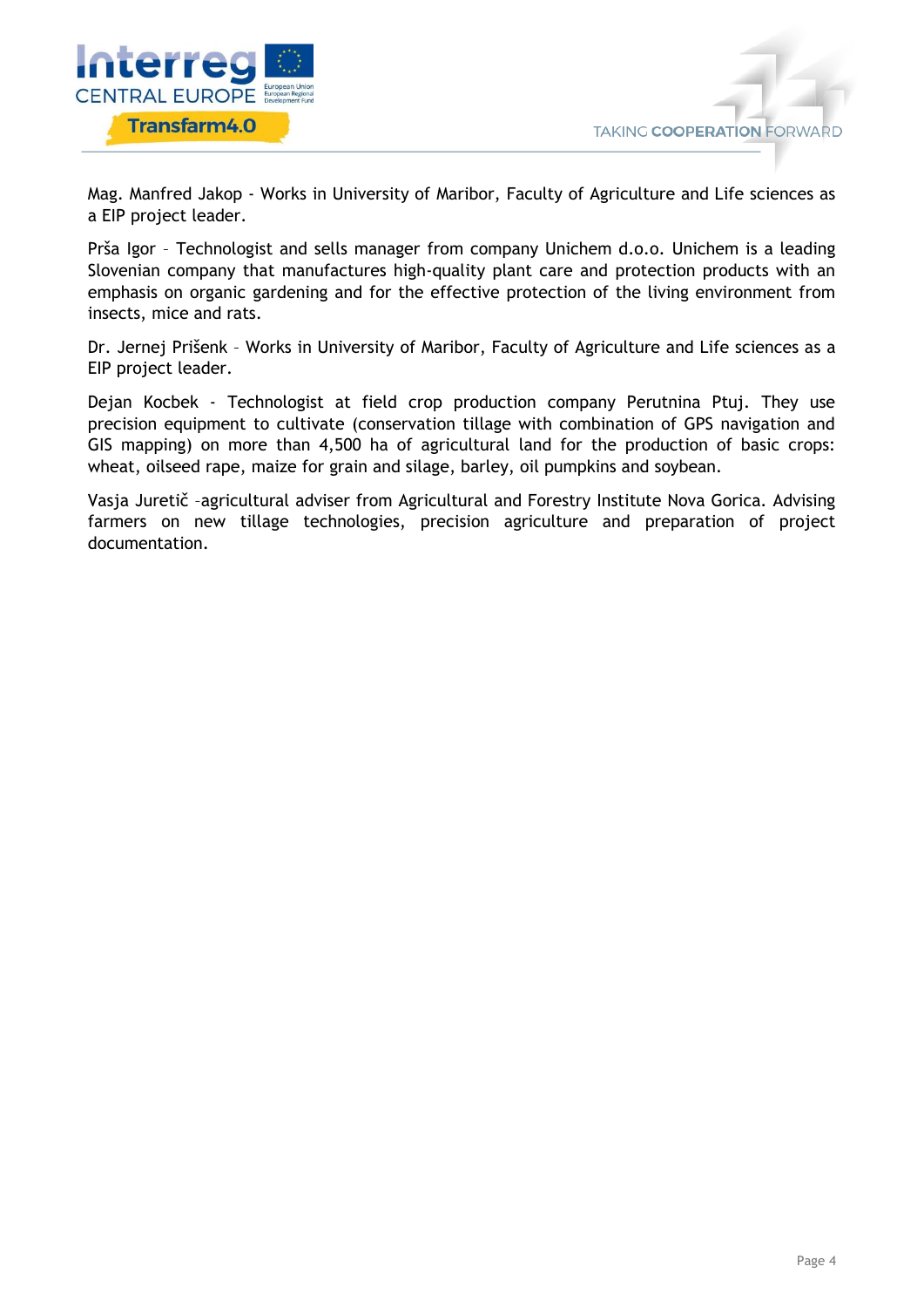

Mag. Manfred Jakop - Works in University of Maribor, Faculty of Agriculture and Life sciences as a EIP project leader.

Prša Igor – Technologist and sells manager from company Unichem d.o.o. Unichem is a leading Slovenian company that manufactures high-quality plant care and protection products with an emphasis on organic gardening and for the effective protection of the living environment from insects, mice and rats.

Dr. Jernej Prišenk – Works in University of Maribor, Faculty of Agriculture and Life sciences as a EIP project leader.

Dejan Kocbek - Technologist at field crop production company Perutnina Ptuj. They use precision equipment to cultivate (conservation tillage with combination of GPS navigation and GIS mapping) on more than 4,500 ha of agricultural land for the production of basic crops: wheat, oilseed rape, maize for grain and silage, barley, oil pumpkins and soybean.

Vasja Juretič –agricultural adviser from Agricultural and Forestry Institute Nova Gorica. Advising farmers on new tillage technologies, precision agriculture and preparation of project documentation.